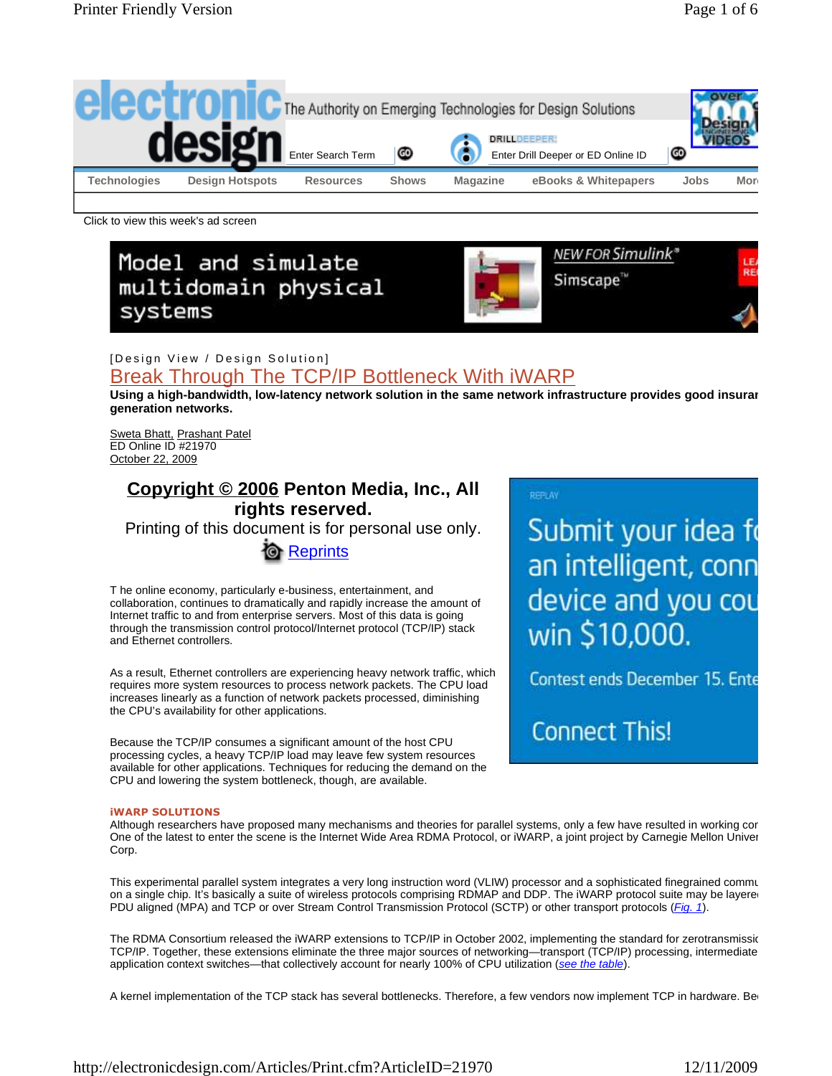

Click to view this week's ad screen

# Model and simulate multidomain physical systems



## [Design View / Design Solution] Break Through The TCP/IP Bottleneck With iWARP

Using a high-bandwidth, low-latency network solution in the same network infrastructure provides good insurar **generation networks.**

Sweta Bhatt, Prashant Patel ED Online ID #21970 October 22, 2009

# **Copyright © 2006 Penton Media, Inc., All rights reserved.**

Printing of this document is for personal use only.



T he online economy, particularly e-business, entertainment, and collaboration, continues to dramatically and rapidly increase the amount of Internet traffic to and from enterprise servers. Most of this data is going through the transmission control protocol/Internet protocol (TCP/IP) stack and Ethernet controllers.

As a result, Ethernet controllers are experiencing heavy network traffic, which requires more system resources to process network packets. The CPU load increases linearly as a function of network packets processed, diminishing the CPU's availability for other applications.

Because the TCP/IP consumes a significant amount of the host CPU processing cycles, a heavy TCP/IP load may leave few system resources available for other applications. Techniques for reducing the demand on the CPU and lowering the system bottleneck, though, are available.

#### **REFLAY**

Submit your idea fo an intelligent, conn device and you cou win \$10,000.

Contest ends December 15. Ente

**Connect This!** 

#### **iWARP SOLUTIONS**

Although researchers have proposed many mechanisms and theories for parallel systems, only a few have resulted in working cor One of the latest to enter the scene is the Internet Wide Area RDMA Protocol, or iWARP, a joint project by Carnegie Mellon Univer Corp.

This experimental parallel system integrates a very long instruction word (VLIW) processor and a sophisticated finegrained communication system integration system system system integration system integration system system on a single chip. It's basically a suite of wireless protocols comprising RDMAP and DDP. The iWARP protocol suite may be layere PDU aligned (MPA) and TCP or over Stream Control Transmission Protocol (SCTP) or other transport protocols (Fig. 1).

The RDMA Consortium released the iWARP extensions to TCP/IP in October 2002, implementing the standard for zerotransmission TCP/IP. Together, these extensions eliminate the three major sources of networking—transport (TCP/IP) processing, intermediate application context switches—that collectively account for nearly 100% of CPU utilization (see the table).

A kernel implementation of the TCP stack has several bottlenecks. Therefore, a few vendors now implement TCP in hardware. Be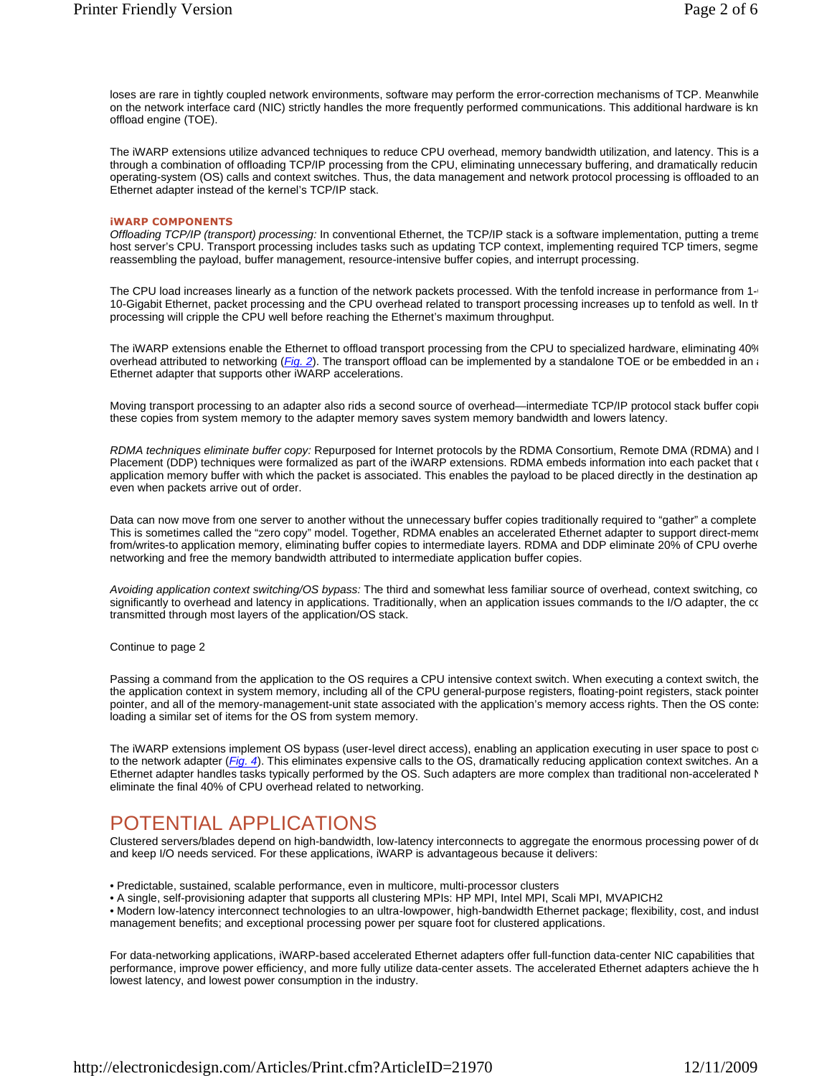loses are rare in tightly coupled network environments, software may perform the error-correction mechanisms of TCP. Meanwhile on the network interface card (NIC) strictly handles the more frequently performed communications. This additional hardware is kn offload engine (TOE).

The iWARP extensions utilize advanced techniques to reduce CPU overhead, memory bandwidth utilization, and latency. This is a through a combination of offloading TCP/IP processing from the CPU, eliminating unnecessary buffering, and dramatically reducin operating-system (OS) calls and context switches. Thus, the data management and network protocol processing is offloaded to an Ethernet adapter instead of the kernel's TCP/IP stack.

#### **iWARP COMPONENTS**

Offloading TCP/IP (transport) processing: In conventional Ethernet, the TCP/IP stack is a software implementation, putting a treme host server's CPU. Transport processing includes tasks such as updating TCP context, implementing required TCP timers, segme reassembling the payload, buffer management, resource-intensive buffer copies, and interrupt processing.

The CPU load increases linearly as a function of the network packets processed. With the tenfold increase in performance from 1-10-Gigabit Ethernet, packet processing and the CPU overhead related to transport processing increases up to tenfold as well. In the processing will cripple the CPU well before reaching the Ethernet's maximum throughput.

The iWARP extensions enable the Ethernet to offload transport processing from the CPU to specialized hardware, eliminating 40% overhead attributed to networking  $(Fig. 2)$ . The transport offload can be implemented by a standalone TOE or be embedded in an a Ethernet adapter that supports other iWARP accelerations.

Moving transport processing to an adapter also rids a second source of overhead—intermediate TCP/IP protocol stack buffer copie these copies from system memory to the adapter memory saves system memory bandwidth and lowers latency.

RDMA techniques eliminate buffer copy: Repurposed for Internet protocols by the RDMA Consortium, Remote DMA (RDMA) and I Placement (DDP) techniques were formalized as part of the iWARP extensions. RDMA embeds information into each packet that  $\epsilon$ application memory buffer with which the packet is associated. This enables the payload to be placed directly in the destination ap even when packets arrive out of order.

Data can now move from one server to another without the unnecessary buffer copies traditionally required to "gather" a complete This is sometimes called the "zero copy" model. Together, RDMA enables an accelerated Ethernet adapter to support direct-memority from/writes-to application memory, eliminating buffer copies to intermediate layers. RDMA and DDP eliminate 20% of CPU overhe networking and free the memory bandwidth attributed to intermediate application buffer copies.

Avoiding application context switching/OS bypass: The third and somewhat less familiar source of overhead, context switching, co significantly to overhead and latency in applications. Traditionally, when an application issues commands to the I/O adapter, the comtransmitted through most layers of the application/OS stack.

Continue to page 2

Passing a command from the application to the OS requires a CPU intensive context switch. When executing a context switch, the the application context in system memory, including all of the CPU general-purpose registers, floating-point registers, stack pointer pointer, and all of the memory-management-unit state associated with the application's memory access rights. Then the OS conte: loading a similar set of items for the OS from system memory.

The iWARP extensions implement OS bypass (user-level direct access), enabling an application executing in user space to post  $\alpha$ to the network adapter (*Fig. 4*). This eliminates expensive calls to the OS, dramatically reducing application context switches. An a Ethernet adapter handles tasks typically performed by the OS. Such adapters are more complex than traditional non-accelerated N eliminate the final 40% of CPU overhead related to networking.

# POTENTIAL APPLICATIONS

Clustered servers/blades depend on high-bandwidth, low-latency interconnects to aggregate the enormous processing power of do and keep I/O needs serviced. For these applications, iWARP is advantageous because it delivers:

• Predictable, sustained, scalable performance, even in multicore, multi-processor clusters

• A single, self-provisioning adapter that supports all clustering MPIs: HP MPI, Intel MPI, Scali MPI, MVAPICH2

• Modern low-latency interconnect technologies to an ultra-lowpower, high-bandwidth Ethernet package; flexibility, cost, and indust management benefits; and exceptional processing power per square foot for clustered applications.

For data-networking applications, iWARP-based accelerated Ethernet adapters offer full-function data-center NIC capabilities that performance, improve power efficiency, and more fully utilize data-center assets. The accelerated Ethernet adapters achieve the h lowest latency, and lowest power consumption in the industry.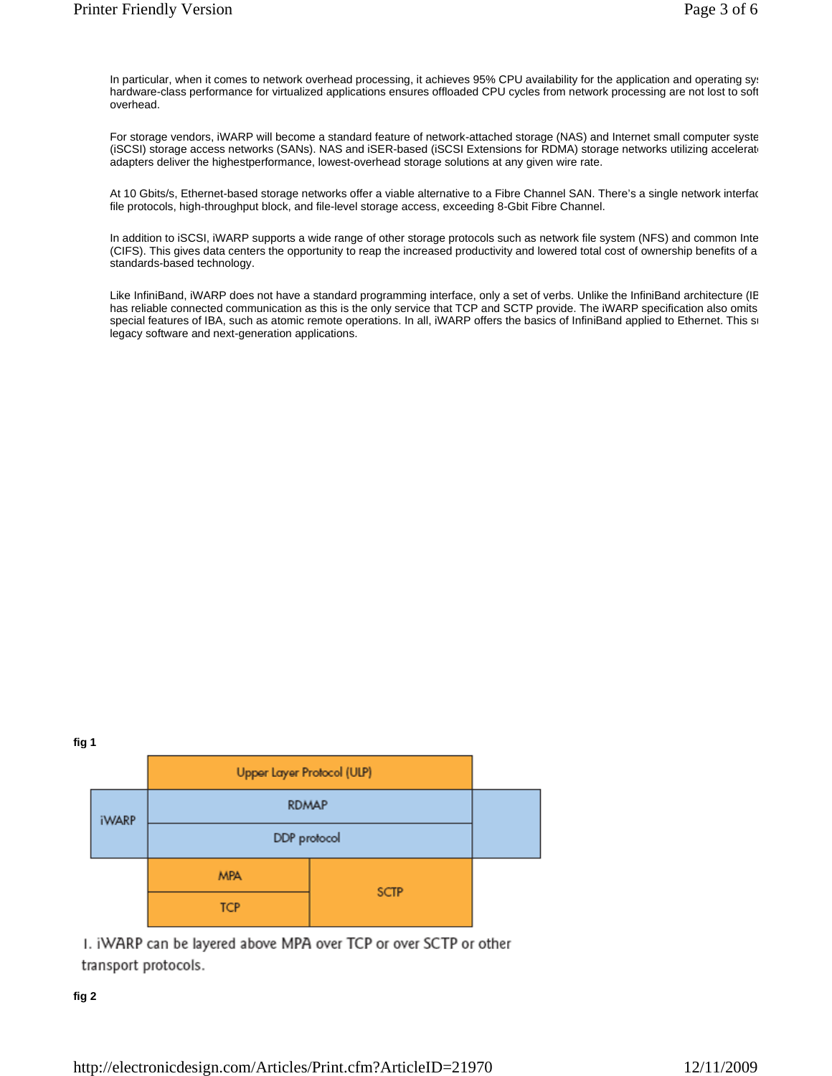In particular, when it comes to network overhead processing, it achieves 95% CPU availability for the application and operating system. hardware-class performance for virtualized applications ensures offloaded CPU cycles from network processing are not lost to soft overhead.

For storage vendors, iWARP will become a standard feature of network-attached storage (NAS) and Internet small computer syste (iSCSI) storage access networks (SANs). NAS and iSER-based (iSCSI Extensions for RDMA) storage networks utilizing accelerat adapters deliver the highestperformance, lowest-overhead storage solutions at any given wire rate.

At 10 Gbits/s, Ethernet-based storage networks offer a viable alternative to a Fibre Channel SAN. There's a single network interfac file protocols, high-throughput block, and file-level storage access, exceeding 8-Gbit Fibre Channel.

In addition to iSCSI, iWARP supports a wide range of other storage protocols such as network file system (NFS) and common Inte (CIFS). This gives data centers the opportunity to reap the increased productivity and lowered total cost of ownership benefits of a standards-based technology.

Like InfiniBand, iWARP does not have a standard programming interface, only a set of verbs. Unlike the InfiniBand architecture (IE has reliable connected communication as this is the only service that TCP and SCTP provide. The iWARP specification also omits special features of IBA, such as atomic remote operations. In all, iWARP offers the basics of InfiniBand applied to Ethernet. This so legacy software and next-generation applications.





1. iWARP can be layered above MPA over TCP or over SCTP or other transport protocols.

#### **fig 2**

http://electronicdesign.com/Articles/Print.cfm?ArticleID=21970 12/11/2009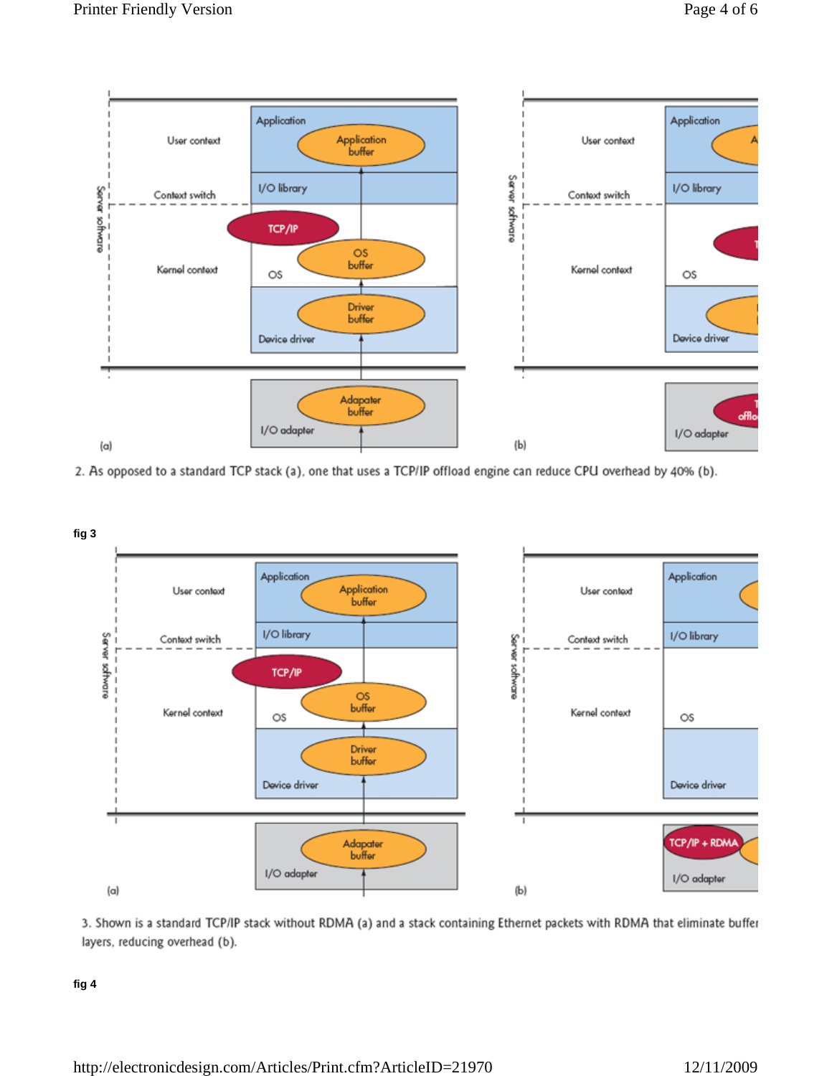

2. As opposed to a standard TCP stack (a), one that uses a TCP/IP offload engine can reduce CPU overhead by 40% (b).





**fig 4**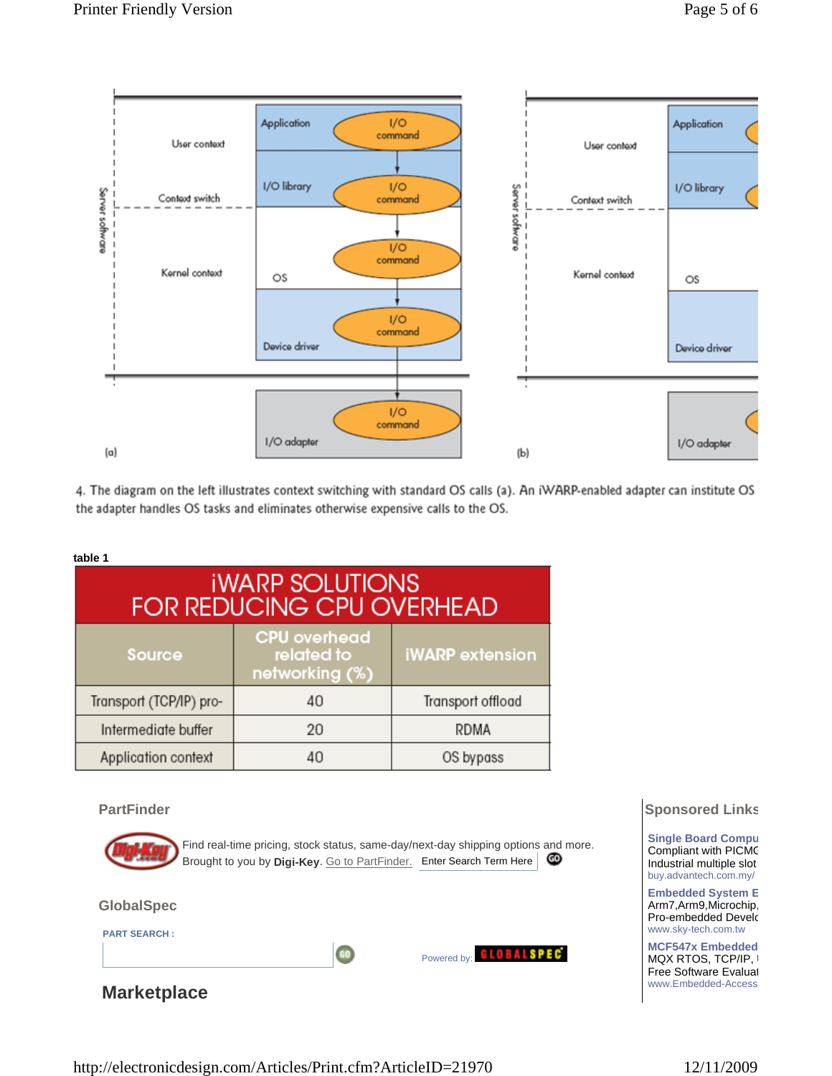

4. The diagram on the left illustrates context switching with standard OS calls (a). An iWARP-enabled adapter can institute OS the adapter handles OS tasks and eliminates otherwise expensive calls to the OS.

#### **table 1**

| <b><i>IWARP SOLUTIONS</i></b><br><b>FOR REDUCING CPU OVERHEAD</b> |                                                     |                        |
|-------------------------------------------------------------------|-----------------------------------------------------|------------------------|
| <b>Source</b>                                                     | <b>CPU</b> overhead<br>related to<br>networking (%) | <b>iWARP</b> extension |
| Transport (TCP/IP) pro-                                           | 40                                                  | Transport offload      |
| Intermediate buffer                                               | 20                                                  | <b>RDMA</b>            |
| Application context                                               | 40                                                  | OS bypass              |

#### **PartFinder**



Find real-time pricing, stock status, same-day/next-day shipping options and more. Brought to you by **Digi-Key**. Go to PartFinder. Enter Search Term Here

#### **GlobalSpec**

**PART SEARCH :**

**Marketplace**

# **GUBALSPEC**<br>Powered by: **GLOBALSPEC**

### **Sponsored Links**

**Single Board Compu** Compliant with PICMC Industrial multiple slot buy.advantech.com.my/

**Embedded System E** Arm7,Arm9,Microchip, Pro-embedded Develo www.sky-tech.com.tw

**MCF547x Embedded** MQX RTOS, TCP/IP, Free Software Evaluat www.Embedded-Access